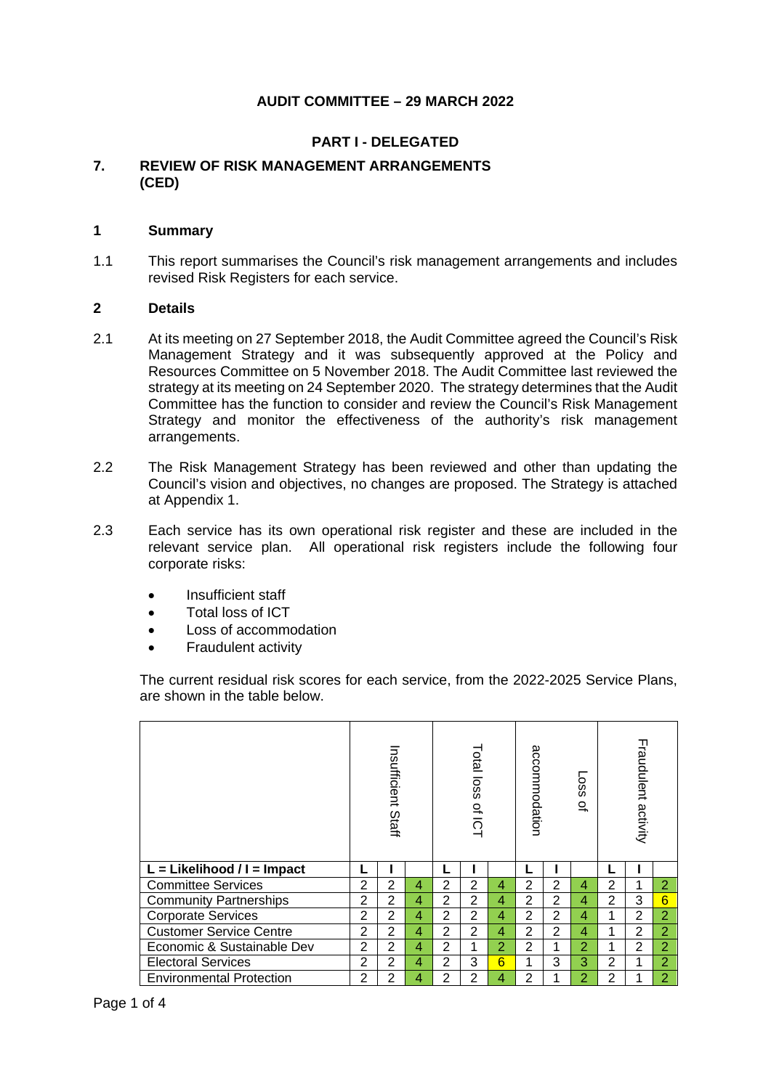## **AUDIT COMMITTEE – 29 MARCH 2022**

### **PART I - DELEGATED**

### **7. REVIEW OF RISK MANAGEMENT ARRANGEMENTS (CED)**

#### **1 Summary**

1.1 This report summarises the Council's risk management arrangements and includes revised Risk Registers for each service.

#### **2 Details**

- 2.1 At its meeting on 27 September 2018, the Audit Committee agreed the Council's Risk Management Strategy and it was subsequently approved at the Policy and Resources Committee on 5 November 2018. The Audit Committee last reviewed the strategy at its meeting on 24 September 2020. The strategy determines that the Audit Committee has the function to consider and review the Council's Risk Management Strategy and monitor the effectiveness of the authority's risk management arrangements.
- 2.2 The Risk Management Strategy has been reviewed and other than updating the Council's vision and objectives, no changes are proposed. The Strategy is attached at Appendix 1.
- 2.3 Each service has its own operational risk register and these are included in the relevant service plan. All operational risk registers include the following four corporate risks:
	- Insufficient staff
	- Total loss of ICT
	- Loss of accommodation
	- Fraudulent activity

The current residual risk scores for each service, from the 2022-2025 Service Plans, are shown in the table below.

|                                 | Insufficient<br>Staff |                |   | Total<br>loss<br>으<br>ក |                | accommodation   |                | sso <sub>T</sub><br>$\Omega$ |                | Fraudulent activity |                |                |
|---------------------------------|-----------------------|----------------|---|-------------------------|----------------|-----------------|----------------|------------------------------|----------------|---------------------|----------------|----------------|
| $L =$ Likelihood / I = Impact   |                       |                |   | L                       |                |                 |                |                              |                | L                   |                |                |
| <b>Committee Services</b>       | 2                     | $\overline{2}$ | 4 | $\overline{2}$          | 2              | 4               | $\overline{2}$ | $\overline{2}$               | 4              | 2                   | 1              | $\overline{2}$ |
| <b>Community Partnerships</b>   | 2                     | 2              | 4 | 2                       | $\overline{2}$ | 4               | 2              | $\overline{2}$               | 4              | $\overline{2}$      | 3              | 6              |
| <b>Corporate Services</b>       | $\overline{2}$        | 2              | 4 | $\overline{2}$          | $\overline{2}$ | 4               | 2              | 2                            | 4              | 2                   |                | $\overline{2}$ |
| <b>Customer Service Centre</b>  |                       | 2              | 4 | $\overline{2}$          | $\overline{2}$ | 4               | $\overline{2}$ | $\overline{2}$               | 4              |                     | $\overline{2}$ | $\overline{2}$ |
| Economic & Sustainable Dev      |                       | $\overline{2}$ | 4 | $\overline{2}$          | 1              | $\overline{2}$  | $\overline{2}$ | 1                            | $\overline{2}$ |                     | 2              | 2              |
| <b>Electoral Services</b>       |                       | 2              | 4 | $\overline{2}$          | 3              | $6\overline{6}$ | 1              | 3                            | 3              | $\overline{2}$      | 1              | 2              |
| <b>Environmental Protection</b> |                       | 2              | 4 | $\overline{2}$          | 2              | 4               | $\overline{2}$ |                              | $\overline{2}$ | $\overline{2}$      |                | $\overline{2}$ |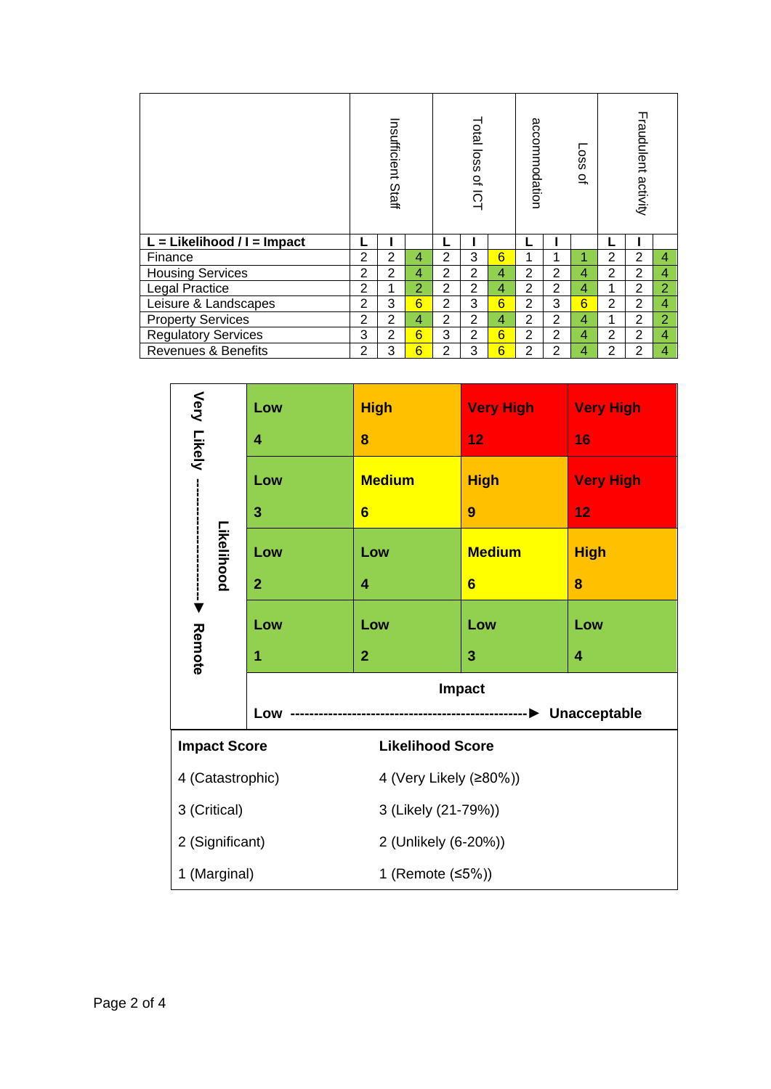|                                | Insufficient Staff |                | Total loss<br>으<br>$\overline{Q}$ |                | accommodation  |                 | sso <sub>T</sub><br>$\Omega$ | Fraudulent activity |                         |                |                |                |
|--------------------------------|--------------------|----------------|-----------------------------------|----------------|----------------|-----------------|------------------------------|---------------------|-------------------------|----------------|----------------|----------------|
| $L =$ Likelihood / I = Impact  |                    |                |                                   | L              |                |                 |                              |                     |                         |                |                |                |
| Finance                        | $\overline{2}$     | $\overline{2}$ | 4                                 | $\overline{2}$ | 3              | 6               | 1                            | 1                   | 1                       | 2              | 2              | 4              |
| <b>Housing Services</b>        | $\overline{2}$     | 2              | 4                                 | $\overline{2}$ | 2              | 4               | 2                            | $\overline{2}$      | $\overline{4}$          | 2              | $\overline{2}$ | 4              |
| Legal Practice                 | $\overline{2}$     | 1              | $\overline{2}$                    | 2              | $\overline{2}$ | 4               | $\overline{2}$               | $\overline{2}$      | 4                       | $\mathbf{1}$   | $\overline{2}$ | $\overline{2}$ |
| Leisure & Landscapes           | $\overline{2}$     | 3              | $6\overline{6}$                   | $\overline{2}$ | 3              | $6\overline{6}$ | $\overline{2}$               | 3                   | $6\overline{6}$         | $\overline{2}$ | 2              | 4              |
| <b>Property Services</b>       |                    | 2              | 4                                 | $\overline{2}$ | $\overline{2}$ | 4               | $\overline{2}$               | 2                   | $\overline{4}$          | 1              | $\overline{2}$ | $\overline{2}$ |
| <b>Regulatory Services</b>     | 3                  | 2              | $6\overline{6}$                   | 3              | $\overline{2}$ | $6\overline{6}$ | $\overline{2}$               | $\overline{2}$      | $\overline{4}$          | $\overline{2}$ | $\overline{2}$ | 4              |
| <b>Revenues &amp; Benefits</b> | 2                  | 3              | 6                                 | $\overline{2}$ | 3              | 6               | $\overline{2}$               | $\overline{2}$      | $\overline{\mathbf{4}}$ | $\overline{2}$ | $\overline{2}$ | 4              |

| Very Likely                      | Low            | <b>High</b>            | <b>Very High</b>     | <b>Very High</b> |  |  |  |  |  |
|----------------------------------|----------------|------------------------|----------------------|------------------|--|--|--|--|--|
|                                  | 4              | 8                      | 12                   | 16               |  |  |  |  |  |
|                                  | Low            | <b>Medium</b>          | <b>High</b>          | <b>Very High</b> |  |  |  |  |  |
|                                  | 3              | $6\phantom{1}$         | 9                    | 12               |  |  |  |  |  |
| Likelihood                       | Low            | Low                    | <b>Medium</b>        | <b>High</b>      |  |  |  |  |  |
|                                  | $\overline{2}$ | 4                      | $6\phantom{1}$       | 8                |  |  |  |  |  |
| $\frac{1}{\blacktriangledown}$   | Low            | Low                    | Low                  | Low              |  |  |  |  |  |
| Remote                           | 1              | $\overline{2}$         | 3                    | 4                |  |  |  |  |  |
|                                  | Impact         |                        |                      |                  |  |  |  |  |  |
|                                  | Low            | <b>Unacceptable</b>    |                      |                  |  |  |  |  |  |
| <b>Impact Score</b>              |                |                        |                      |                  |  |  |  |  |  |
| 4 (Catastrophic)                 |                | 4 (Very Likely (≥80%)) |                      |                  |  |  |  |  |  |
| 3 (Critical)                     |                | 3 (Likely (21-79%))    |                      |                  |  |  |  |  |  |
| 2 (Significant)                  |                |                        | 2 (Unlikely (6-20%)) |                  |  |  |  |  |  |
| 1 (Marginal)<br>1 (Remote (≤5%)) |                |                        |                      |                  |  |  |  |  |  |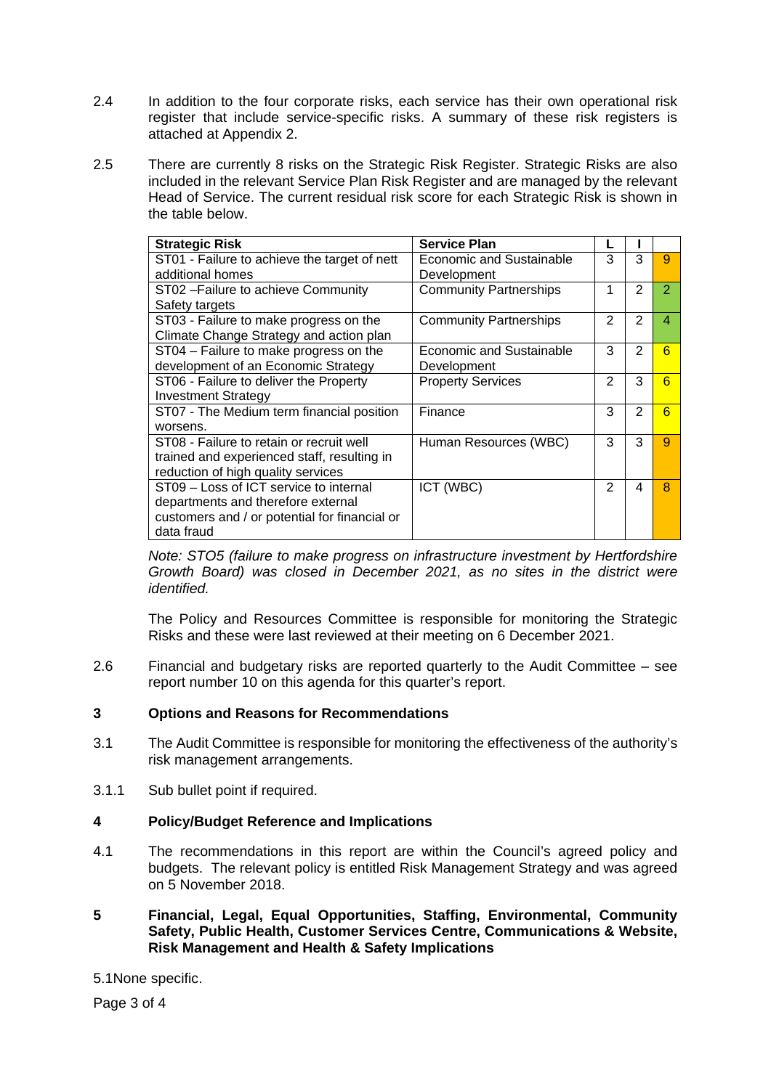- 2.4 In addition to the four corporate risks, each service has their own operational risk register that include service-specific risks. A summary of these risk registers is attached at Appendix 2.
- 2.5 There are currently 8 risks on the Strategic Risk Register. Strategic Risks are also included in the relevant Service Plan Risk Register and are managed by the relevant Head of Service. The current residual risk score for each Strategic Risk is shown in the table below.

| <b>Strategic Risk</b>                         | <b>Service Plan</b>           |   |               |                 |
|-----------------------------------------------|-------------------------------|---|---------------|-----------------|
| ST01 - Failure to achieve the target of nett  | Economic and Sustainable      | 3 | 3             | 9               |
| additional homes                              | Development                   |   |               |                 |
| ST02-Failure to achieve Community             | <b>Community Partnerships</b> | 1 | $\mathcal{P}$ | $\overline{2}$  |
| Safety targets                                |                               |   |               |                 |
| ST03 - Failure to make progress on the        | <b>Community Partnerships</b> | 2 | 2             | 4               |
| Climate Change Strategy and action plan       |                               |   |               |                 |
| ST04 - Failure to make progress on the        | Economic and Sustainable      | 3 | 2             | $6\overline{6}$ |
| development of an Economic Strategy           | Development                   |   |               |                 |
| ST06 - Failure to deliver the Property        | <b>Property Services</b>      | 2 | 3             | 6               |
| <b>Investment Strategy</b>                    |                               |   |               |                 |
| ST07 - The Medium term financial position     | Finance                       | 3 | 2             | 6               |
| worsens.                                      |                               |   |               |                 |
| ST08 - Failure to retain or recruit well      | Human Resources (WBC)         | 3 | 3             | 9               |
| trained and experienced staff, resulting in   |                               |   |               |                 |
| reduction of high quality services            |                               |   |               |                 |
| ST09 - Loss of ICT service to internal        | ICT (WBC)                     | 2 | 4             | 8               |
| departments and therefore external            |                               |   |               |                 |
| customers and / or potential for financial or |                               |   |               |                 |
| data fraud                                    |                               |   |               |                 |

*Note: STO5 (failure to make progress on infrastructure investment by Hertfordshire Growth Board) was closed in December 2021, as no sites in the district were identified.*

The Policy and Resources Committee is responsible for monitoring the Strategic Risks and these were last reviewed at their meeting on 6 December 2021.

2.6 Financial and budgetary risks are reported quarterly to the Audit Committee – see report number 10 on this agenda for this quarter's report.

### **3 Options and Reasons for Recommendations**

- 3.1 The Audit Committee is responsible for monitoring the effectiveness of the authority's risk management arrangements.
- 3.1.1 Sub bullet point if required.

# **4 Policy/Budget Reference and Implications**

4.1 The recommendations in this report are within the Council's agreed policy and budgets. The relevant policy is entitled Risk Management Strategy and was agreed on 5 November 2018.

### **5 Financial, Legal, Equal Opportunities, Staffing, Environmental, Community Safety, Public Health, Customer Services Centre, Communications & Website, Risk Management and Health & Safety Implications**

5.1None specific.

Page 3 of 4